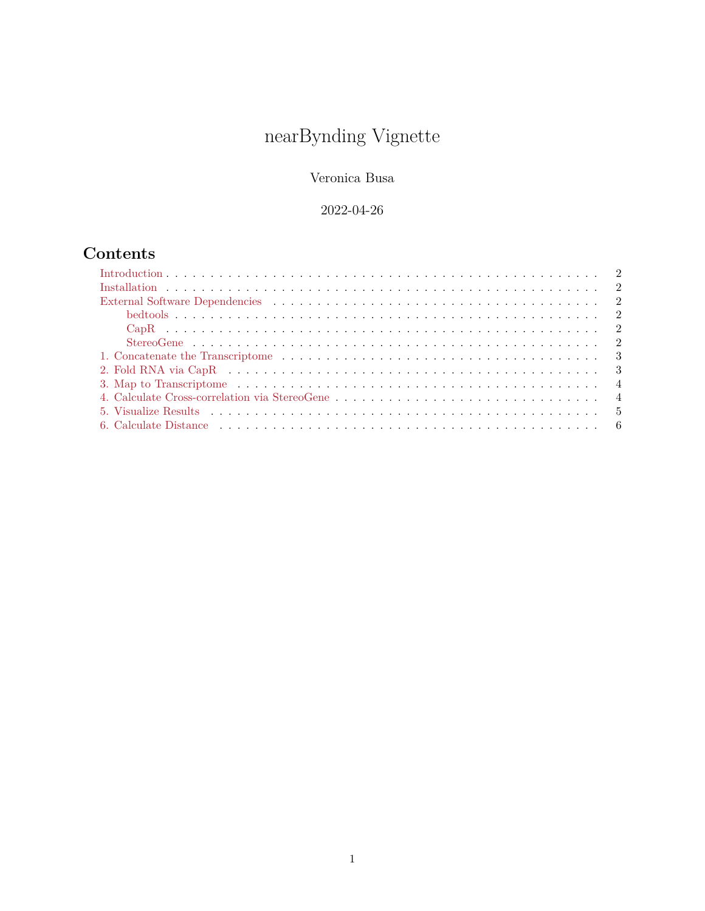# nearBynding Vignette

Veronica Busa

# 2022-04-26

# **Contents**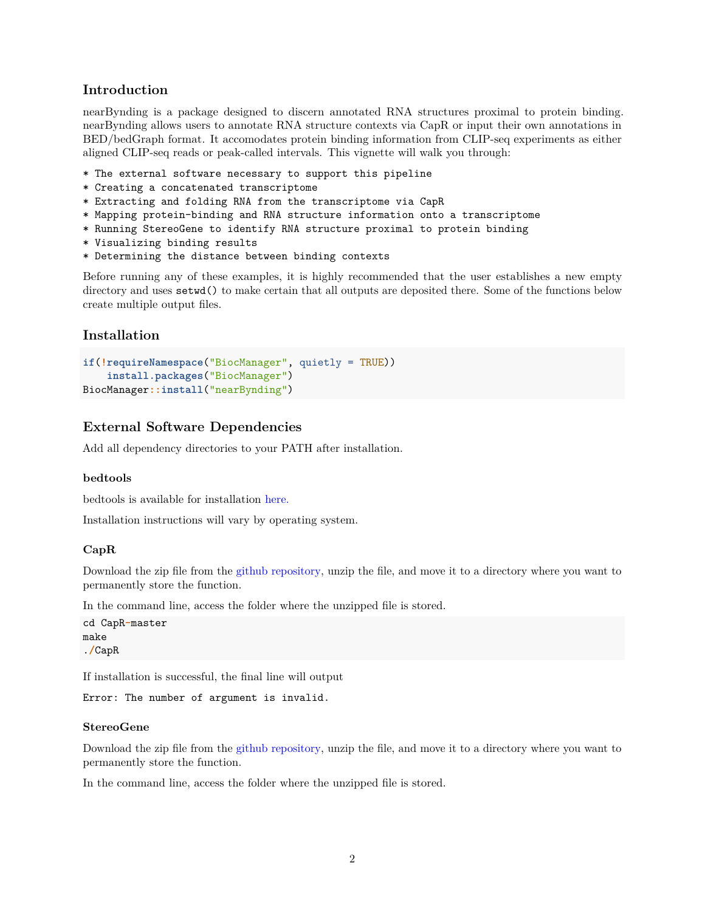# <span id="page-1-0"></span>**Introduction**

nearBynding is a package designed to discern annotated RNA structures proximal to protein binding. nearBynding allows users to annotate RNA structure contexts via CapR or input their own annotations in BED/bedGraph format. It accomodates protein binding information from CLIP-seq experiments as either aligned CLIP-seq reads or peak-called intervals. This vignette will walk you through:

- \* The external software necessary to support this pipeline
- \* Creating a concatenated transcriptome
- \* Extracting and folding RNA from the transcriptome via CapR
- \* Mapping protein-binding and RNA structure information onto a transcriptome
- \* Running StereoGene to identify RNA structure proximal to protein binding
- \* Visualizing binding results
- \* Determining the distance between binding contexts

Before running any of these examples, it is highly recommended that the user establishes a new empty directory and uses setwd() to make certain that all outputs are deposited there. Some of the functions below create multiple output files.

# <span id="page-1-1"></span>**Installation**

```
if(!requireNamespace("BiocManager", quietly = TRUE))
    install.packages("BiocManager")
BiocManager::install("nearBynding")
```
# <span id="page-1-2"></span>**External Software Dependencies**

Add all dependency directories to your PATH after installation.

#### <span id="page-1-3"></span>**bedtools**

bedtools is available for installation [here.](https://bedtools.readthedocs.io/en/latest/content/installation.html)

Installation instructions will vary by operating system.

#### <span id="page-1-4"></span>**CapR**

Download the zip file from the [github repository,](https://github.com/fukunagatsu/CapR) unzip the file, and move it to a directory where you want to permanently store the function.

In the command line, access the folder where the unzipped file is stored.

```
cd CapR-master
make
./CapR
```
If installation is successful, the final line will output

Error: The number of argument is invalid.

#### <span id="page-1-5"></span>**StereoGene**

Download the zip file from the [github repository,](https://github.com/favorov/stereogene) unzip the file, and move it to a directory where you want to permanently store the function.

In the command line, access the folder where the unzipped file is stored.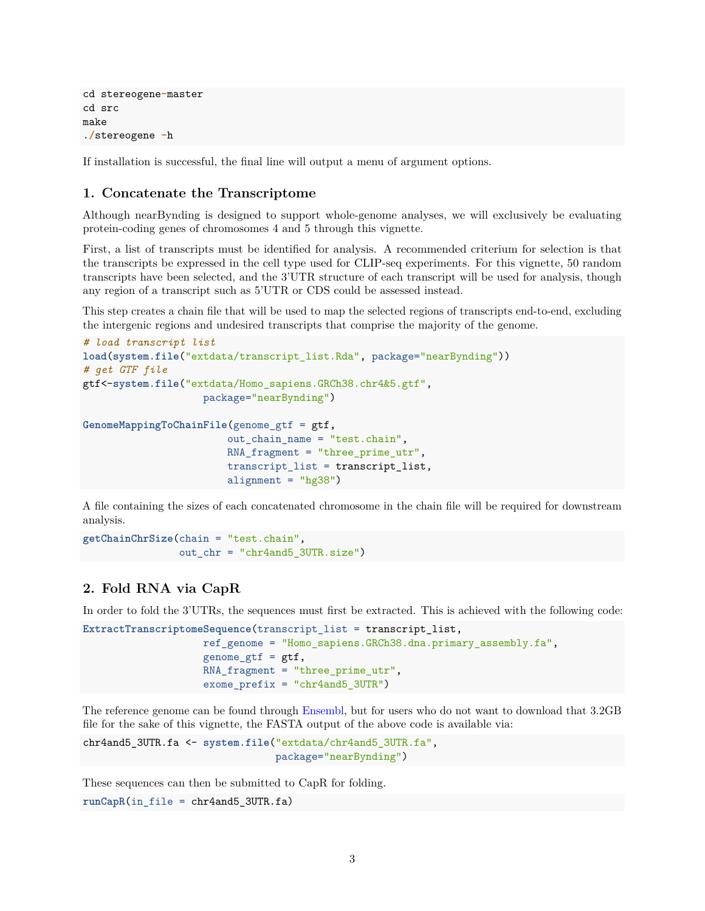```
cd stereogene-master
cd src
make
./stereogene -h
```
If installation is successful, the final line will output a menu of argument options.

# <span id="page-2-0"></span>**1. Concatenate the Transcriptome**

Although nearBynding is designed to support whole-genome analyses, we will exclusively be evaluating protein-coding genes of chromosomes 4 and 5 through this vignette.

First, a list of transcripts must be identified for analysis. A recommended criterium for selection is that the transcripts be expressed in the cell type used for CLIP-seq experiments. For this vignette, 50 random transcripts have been selected, and the 3'UTR structure of each transcript will be used for analysis, though any region of a transcript such as 5'UTR or CDS could be assessed instead.

This step creates a chain file that will be used to map the selected regions of transcripts end-to-end, excluding the intergenic regions and undesired transcripts that comprise the majority of the genome.

```
# load transcript list
load(system.file("extdata/transcript_list.Rda", package="nearBynding"))
# get GTF file
gtf<-system.file("extdata/Homo_sapiens.GRCh38.chr4&5.gtf",
                    package="nearBynding")
GenomeMappingToChainFile(genome_gtf = gtf,
                        out_chain_name = "test.chain",
                        RNA_fragment = "three_prime_utr",
                        transcript_list = transcript_list,
                        alignment = "hg38")
```
A file containing the sizes of each concatenated chromosome in the chain file will be required for downstream analysis.

```
getChainChrSize(chain = "test.chain",
                out chr = "chr4and5 3UTR.size")
```
# <span id="page-2-1"></span>**2. Fold RNA via CapR**

In order to fold the 3'UTRs, the sequences must first be extracted. This is achieved with the following code:

```
ExtractTranscriptomeSequence(transcript_list = transcript_list,
                    ref_genome = "Homo_sapiens.GRCh38.dna.primary_assembly.fa",
                    genome_gtf = gtf,RNA_fragment = "three_prime_utr",
                    exome_prefix = "chr4and5_3UTR")
```
The reference genome can be found through [Ensembl,](ftp://ftp.ensembl.org/pub/release-100/fasta/homo_sapiens/dna/) but for users who do not want to download that 3.2GB file for the sake of this vignette, the FASTA output of the above code is available via:

```
chr4and5_3UTR.fa <- system.file("extdata/chr4and5_3UTR.fa",
                                package="nearBynding")
```
These sequences can then be submitted to CapR for folding.

```
runCapR(in_file = chr4and5_3UTR.fa)
```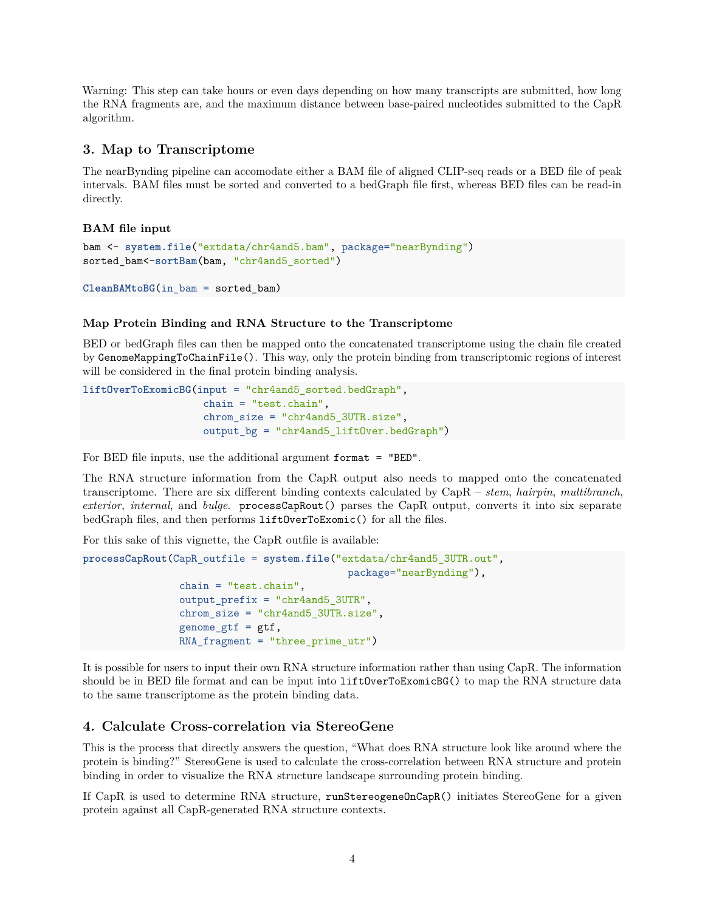Warning: This step can take hours or even days depending on how many transcripts are submitted, how long the RNA fragments are, and the maximum distance between base-paired nucleotides submitted to the CapR algorithm.

## <span id="page-3-0"></span>**3. Map to Transcriptome**

The nearBynding pipeline can accomodate either a BAM file of aligned CLIP-seq reads or a BED file of peak intervals. BAM files must be sorted and converted to a bedGraph file first, whereas BED files can be read-in directly.

#### **BAM file input**

```
bam <- system.file("extdata/chr4and5.bam", package="nearBynding")
sorted_bam<-sortBam(bam, "chr4and5_sorted")
```

```
CleanBAMtoBG(in_bam = sorted_bam)
```
#### **Map Protein Binding and RNA Structure to the Transcriptome**

BED or bedGraph files can then be mapped onto the concatenated transcriptome using the chain file created by GenomeMappingToChainFile(). This way, only the protein binding from transcriptomic regions of interest will be considered in the final protein binding analysis.

```
liftOverToExomicBG(input = "chr4and5_sorted.bedGraph",
                    chain = "test.chain",
                    chrom_size = "chr4and5_3UTR.size",
                    output_bg = "chr4and5_liftOver.bedGraph")
```
For BED file inputs, use the additional argument format = "BED".

The RNA structure information from the CapR output also needs to mapped onto the concatenated transcriptome. There are six different binding contexts calculated by CapR – *stem*, *hairpin*, *multibranch*, *exterior*, *internal*, and *bulge*. processCapRout() parses the CapR output, converts it into six separate bedGraph files, and then performs liftOverToExomic() for all the files.

For this sake of this vignette, the CapR outfile is available:

```
processCapRout(CapR_outfile = system.file("extdata/chr4and5_3UTR.out",
                                            package="nearBynding"),
                chain = "test.chain",
                output_prefix = "chr4and5_3UTR",
                chrom_size = "chr4and5_3UTR.size",
                genome_gtf = gtf,RNA_fragment = "three_prime_utr")
```
It is possible for users to input their own RNA structure information rather than using CapR. The information should be in BED file format and can be input into liftOverToExomicBG() to map the RNA structure data to the same transcriptome as the protein binding data.

#### <span id="page-3-1"></span>**4. Calculate Cross-correlation via StereoGene**

This is the process that directly answers the question, "What does RNA structure look like around where the protein is binding?" StereoGene is used to calculate the cross-correlation between RNA structure and protein binding in order to visualize the RNA structure landscape surrounding protein binding.

If CapR is used to determine RNA structure, runStereogeneOnCapR() initiates StereoGene for a given protein against all CapR-generated RNA structure contexts.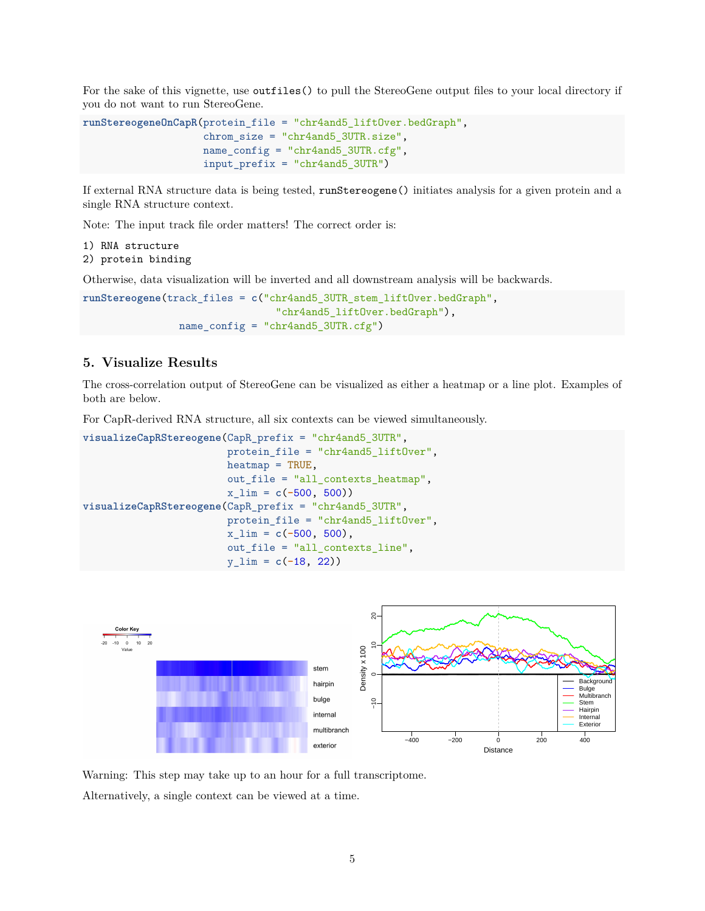For the sake of this vignette, use outfiles() to pull the StereoGene output files to your local directory if you do not want to run StereoGene.

```
runStereogeneOnCapR(protein_file = "chr4and5_liftOver.bedGraph",
                    chrom size = "chr4and5 3UTR.size",
                    name_config = "chr4and5_3UTR.cfg",
                    input_prefix = "chr4and5_3UTR")
```
If external RNA structure data is being tested, runStereogene() initiates analysis for a given protein and a single RNA structure context.

Note: The input track file order matters! The correct order is:

- 1) RNA structure
- 2) protein binding

Otherwise, data visualization will be inverted and all downstream analysis will be backwards.

```
runStereogene(track_files = c("chr4and5_3UTR_stem_liftOver.bedGraph",
                                "chr4and5_liftOver.bedGraph"),
                name_config = "chr4and5_3UTR.cfg")
```
# <span id="page-4-0"></span>**5. Visualize Results**

The cross-correlation output of StereoGene can be visualized as either a heatmap or a line plot. Examples of both are below.

For CapR-derived RNA structure, all six contexts can be viewed simultaneously.

```
visualizeCapRStereogene(CapR_prefix = "chr4and5_3UTR",
                        protein_file = "chr4and5_liftOver",
                        heatmap = TRUE,
                        out_file = "all_contexts_heatmap",
                        x_lim = c(-500, 500))
visualizeCapRStereogene(CapR_prefix = "chr4and5_3UTR",
                        protein_file = "chr4and5_liftOver",
                        x_lim = c(-500, 500),
                        out_file = "all_contexts_line",
                        y_lim = c(-18, 22))
```


Warning: This step may take up to an hour for a full transcriptome.

Alternatively, a single context can be viewed at a time.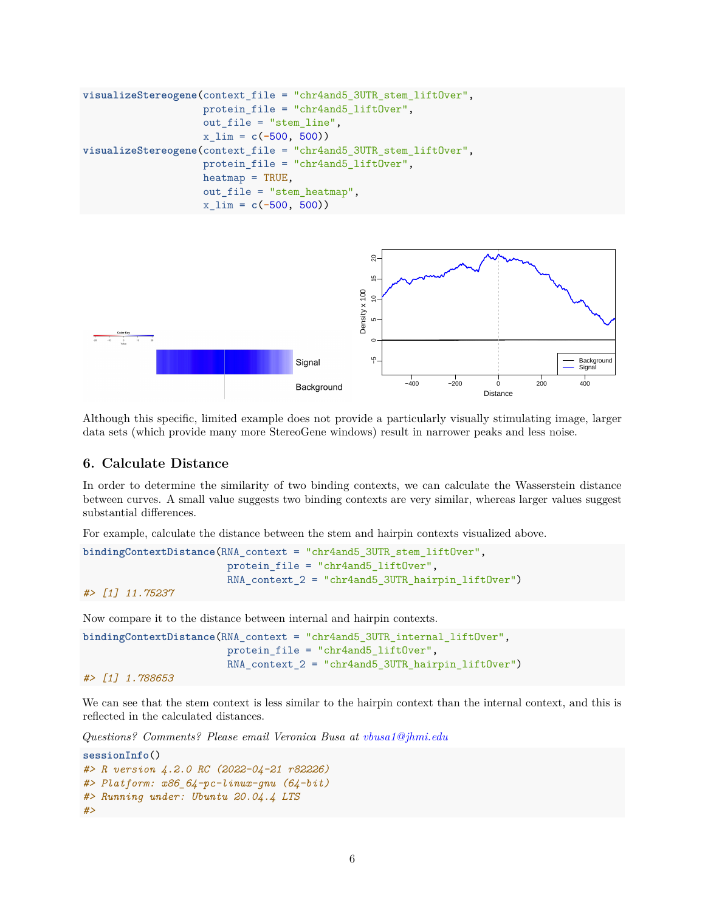```
visualizeStereogene(context_file = "chr4and5_3UTR_stem_liftOver",
                    protein_file = "chr4and5_liftOver",
                    out_file = "stem_line",
                    x_lim = c(-500, 500))
visualizeStereogene(context_file = "chr4and5_3UTR_stem_liftOver",
                    protein_file = "chr4and5_liftOver",
                    heatmap = TRUE,out file = "stem heatmap",
                    x_lim = c(-500, 500))
```


Although this specific, limited example does not provide a particularly visually stimulating image, larger data sets (which provide many more StereoGene windows) result in narrower peaks and less noise.

### <span id="page-5-0"></span>**6. Calculate Distance**

In order to determine the similarity of two binding contexts, we can calculate the Wasserstein distance between curves. A small value suggests two binding contexts are very similar, whereas larger values suggest substantial differences.

For example, calculate the distance between the stem and hairpin contexts visualized above.

```
bindingContextDistance(RNA_context = "chr4and5_3UTR_stem_liftOver",
                        protein_file = "chr4and5_liftOver",
                        RNA context 2 = "chr4and5 3UTR hairpin liftOver")
#> [1] 11.75237
```
Now compare it to the distance between internal and hairpin contexts.

```
bindingContextDistance(RNA_context = "chr4and5_3UTR_internal_liftOver",
                        protein_file = "chr4and5_liftOver",
                        RNA_context_2 = "chr4and5_3UTR_hairpin_liftOver")
```

```
#> [1] 1.788653
```
We can see that the stem context is less similar to the hairpin context than the internal context, and this is reflected in the calculated distances.

*Questions? Comments? Please email Veronica Busa at [vbusa1@jhmi.edu](mailto:vbusa1@jhmi.edu)*

```
sessionInfo()
#> R version 4.2.0 RC (2022-04-21 r82226)
#> Platform: x86_64-pc-linux-gnu (64-bit)
#> Running under: Ubuntu 20.04.4 LTS
#>
```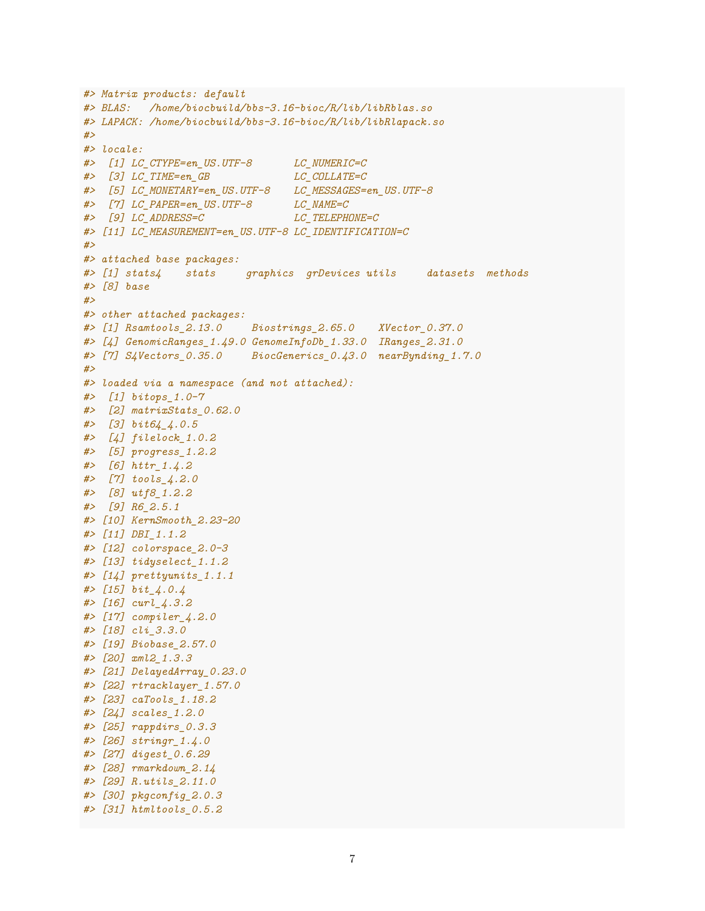```
#> Matrix products: default
#> BLAS: /home/biocbuild/bbs-3.16-bioc/R/lib/libRblas.so
#> LAPACK: /home/biocbuild/bbs-3.16-bioc/R/lib/libRlapack.so
#>
#> locale:
#> [1] LC_CTYPE=en_US.UTF-8 LC_NUMERIC=C
#> [3] LC_TIME=en_GB LC_COLLATE=C
#> [5] LC_MONETARY=en_US.UTF-8 LC_MESSAGES=en_US.UTF-8
#> [7] LC_PAPER=en_US.UTF-8 LC_NAME=C
#> [9] LC_ADDRESS=C LC_TELEPHONE=C
#> [11] LC_MEASUREMENT=en_US.UTF-8 LC_IDENTIFICATION=C
#>
#> attached base packages:
#> [1] stats4 stats graphics grDevices utils datasets methods
#> [8] base
#>
#> other attached packages:
#> [1] Rsamtools_2.13.0 Biostrings_2.65.0 XVector_0.37.0
#> [4] GenomicRanges_1.49.0 GenomeInfoDb_1.33.0 IRanges_2.31.0
#> [7] S4Vectors_0.35.0 BiocGenerics_0.43.0 nearBynding_1.7.0
#>
#> loaded via a namespace (and not attached):
#> [1] bitops_1.0-7
#> [2] matrixStats_0.62.0
#> [3] bit64_4.0.5
#> [4] filelock_1.0.2
#> [5] progress_1.2.2
#> [6] httr_1.4.2
#> [7] tools_4.2.0
#> [8] utf8_1.2.2
#> [9] R6_2.5.1
#> [10] KernSmooth_2.23-20
#> [11] DBI_1.1.2
#> [12] colorspace_2.0-3
#> [13] tidyselect_1.1.2
#> [14] prettyunits_1.1.1
#> [15] bit_4.0.4
#> [16] curl_4.3.2
#> [17] compiler_4.2.0
#> [18] cli_3.3.0
#> [19] Biobase_2.57.0
#> [20] xml2_1.3.3
#> [21] DelayedArray_0.23.0
#> [22] rtracklayer_1.57.0
#> [23] caTools_1.18.2
#> [24] scales_1.2.0
#> [25] rappdirs_0.3.3
#> [26] stringr_1.4.0
#> [27] digest_0.6.29
#> [28] rmarkdown_2.14
#> [29] R.utils_2.11.0
#> [30] pkgconfig_2.0.3
#> [31] htmltools_0.5.2
```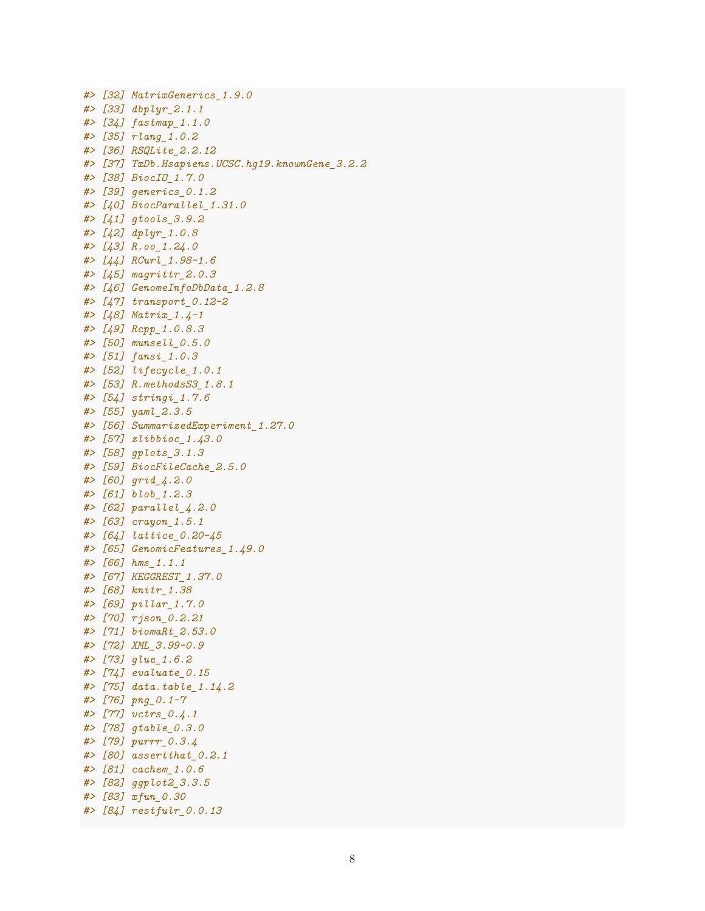```
#> [32] MatrixGenerics_1.9.0
#> [33] dbplyr_2.1.1
#> [34] fastmap_1.1.0
#> [35] rlang_1.0.2
#> [36] RSQLite_2.2.12
#> [37] TxDb.Hsapiens.UCSC.hg19.knownGene_3.2.2
#> [38] BiocIO_1.7.0
#> [39] generics_0.1.2
#> [40] BiocParallel_1.31.0
#> [41] gtools_3.9.2
#> [42] dplyr_1.0.8
#> [43] R.oo_1.24.0
#> [44] RCurl_1.98-1.6
#> [45] magrittr_2.0.3
#> [46] GenomeInfoDbData_1.2.8
#> [47] transport_0.12-2
#> [48] Matrix_1.4-1
#> [49] Rcpp_1.0.8.3
#> [50] munsell_0.5.0
#> [51] fansi_1.0.3
#> [52] lifecycle_1.0.1
#> [53] R.methodsS3_1.8.1
#> [54] stringi_1.7.6
#> [55] yaml_2.3.5
#> [56] SummarizedExperiment_1.27.0
#> [57] zlibbioc_1.43.0
#> [58] gplots_3.1.3
#> [59] BiocFileCache_2.5.0
#> [60] grid_4.2.0
#> [61] blob_1.2.3
#> [62] parallel_4.2.0
#> [63] crayon_1.5.1
#> [64] lattice_0.20-45
#> [65] GenomicFeatures_1.49.0
#> [66] hms_1.1.1
#> [67] KEGGREST_1.37.0
#> [68] knitr_1.38
#> [69] pillar_1.7.0
#> [70] rjson_0.2.21
#> [71] biomaRt_2.53.0
#> [72] XML_3.99-0.9
#> [73] glue_1.6.2
#> [74] evaluate_0.15
#> [75] data.table_1.14.2
#> [76] png_0.1-7
#> [77] vctrs_0.4.1
#> [78] gtable_0.3.0
#> [79] purrr_0.3.4
#> [80] assertthat_0.2.1
#> [81] cachem_1.0.6
#> [82] ggplot2_3.3.5
#> [83] xfun_0.30
#> [84] restfulr_0.0.13
```